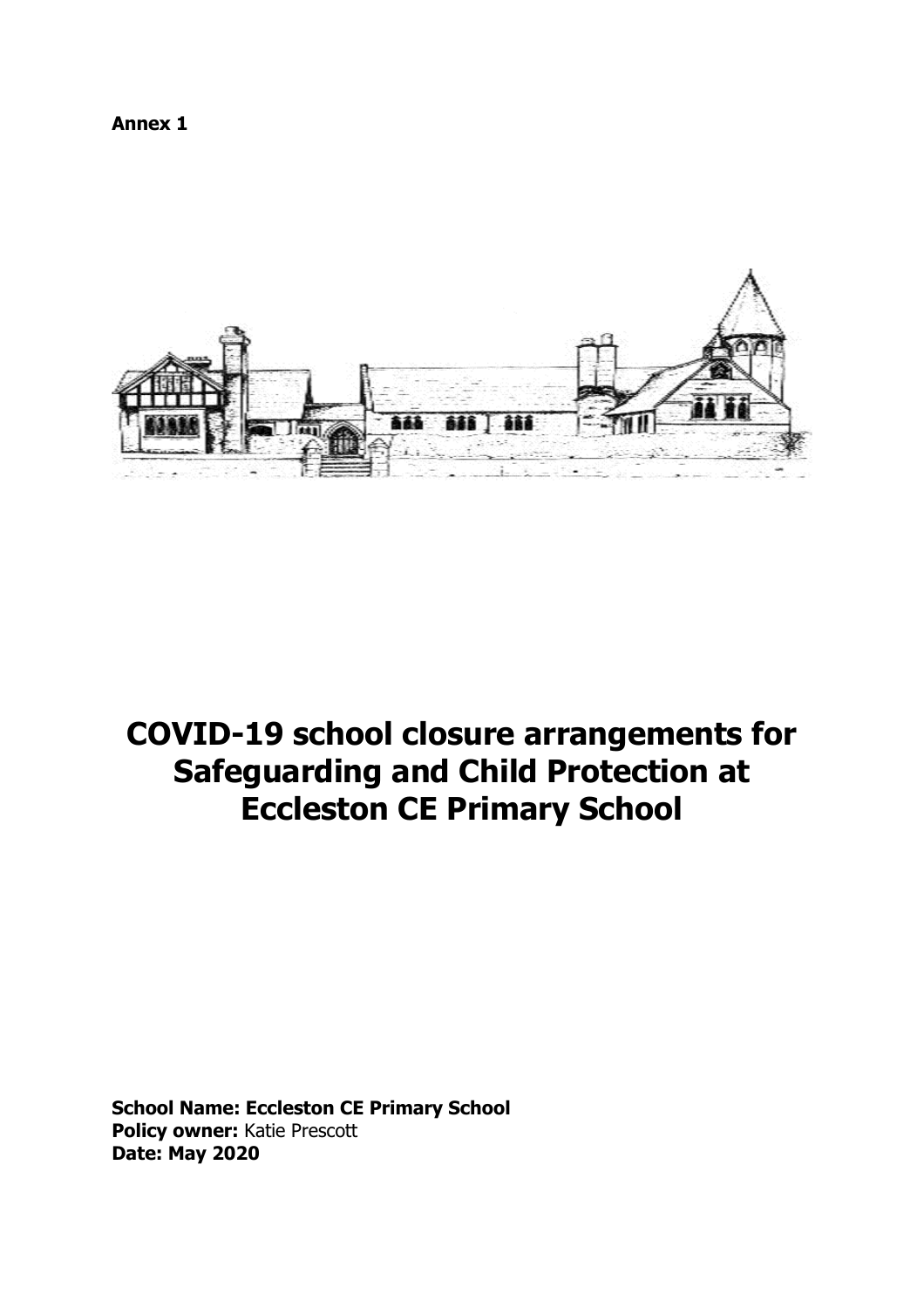**Annex 1**



# **COVID-19 school closure arrangements for Safeguarding and Child Protection at Eccleston CE Primary School**

**School Name: Eccleston CE Primary School Policy owner:** Katie Prescott **Date: May 2020**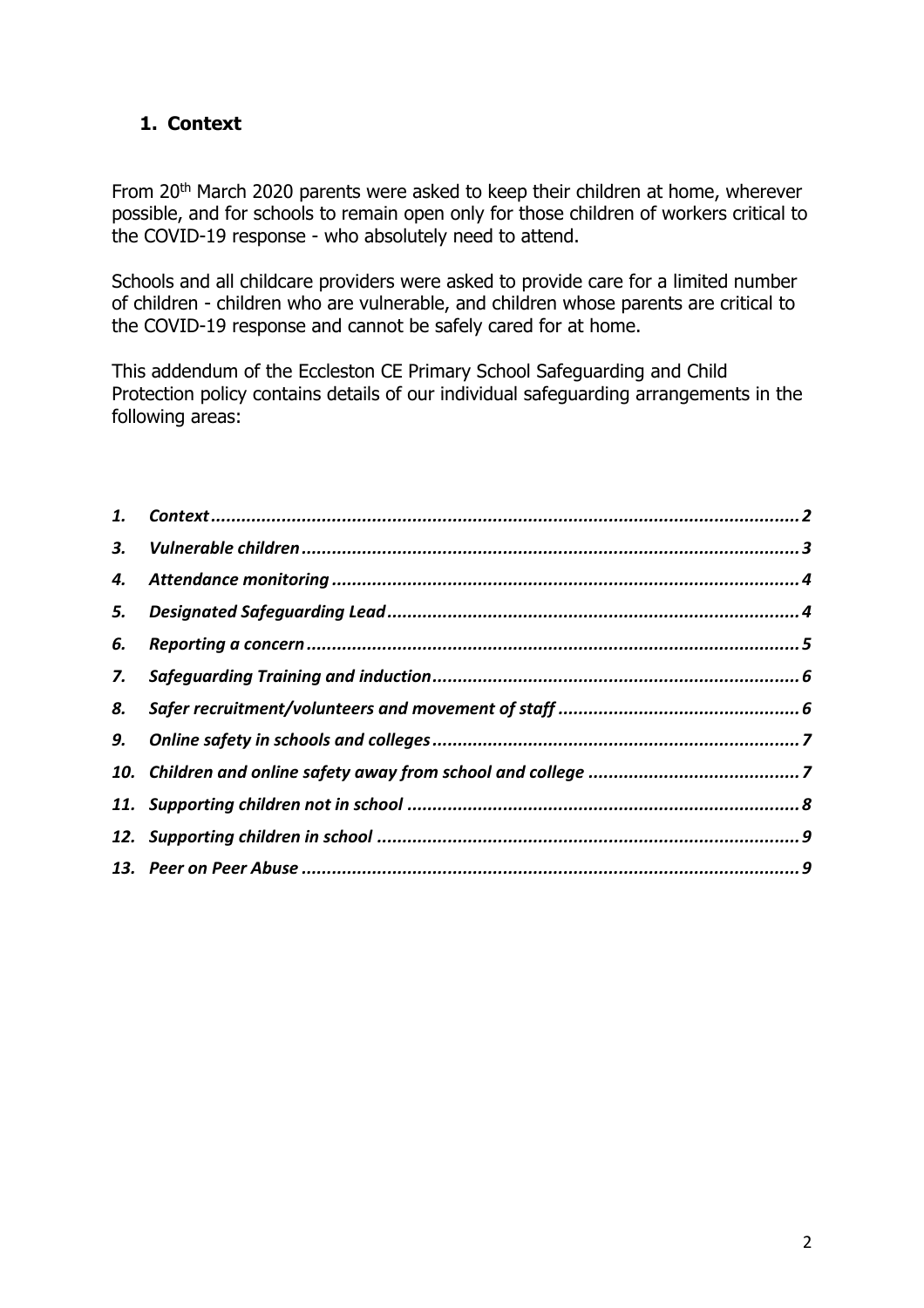# <span id="page-1-0"></span>**1. Context**

From 20<sup>th</sup> March 2020 parents were asked to keep their children at home, wherever possible, and for schools to remain open only for those children of workers critical to the COVID-19 response - who absolutely need to attend.

Schools and all childcare providers were asked to provide care for a limited number of children - children who are vulnerable, and children whose parents are critical to the COVID-19 response and cannot be safely cared for at home.

This addendum of the Eccleston CE Primary School Safeguarding and Child Protection policy contains details of our individual safeguarding arrangements in the following areas:

| 6. |  |
|----|--|
| 7. |  |
| 8. |  |
|    |  |
|    |  |
|    |  |
|    |  |
|    |  |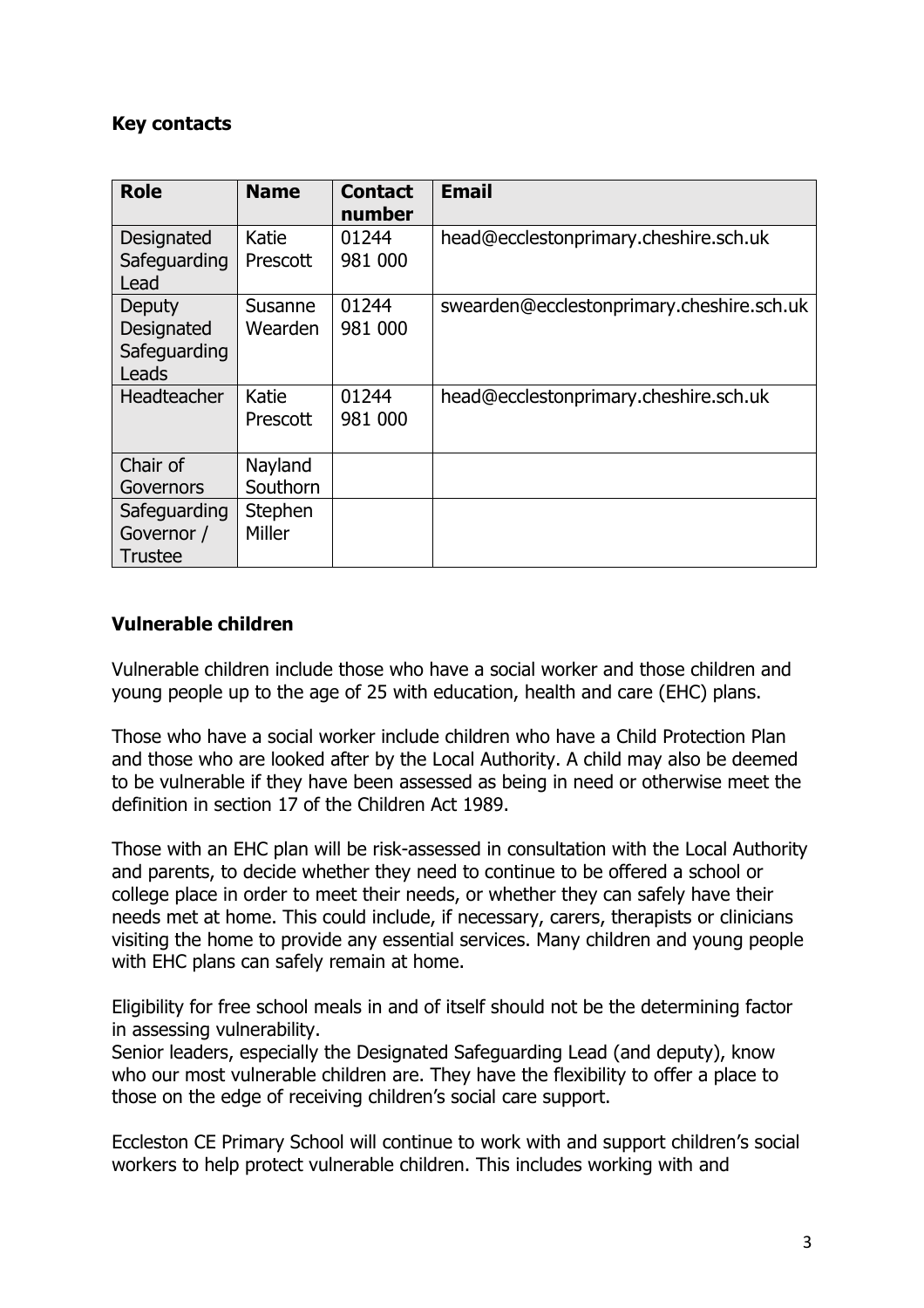## **Key contacts**

| <b>Role</b>                                   | <b>Name</b>         | <b>Contact</b><br>number | <b>Email</b>                              |
|-----------------------------------------------|---------------------|--------------------------|-------------------------------------------|
| Designated<br>Safeguarding<br>Lead            | Katie<br>Prescott   | 01244<br>981 000         | head@ecclestonprimary.cheshire.sch.uk     |
| Deputy<br>Designated<br>Safeguarding<br>Leads | Susanne<br>Wearden  | 01244<br>981 000         | swearden@ecclestonprimary.cheshire.sch.uk |
| Headteacher                                   | Katie<br>Prescott   | 01244<br>981 000         | head@ecclestonprimary.cheshire.sch.uk     |
| Chair of<br>Governors                         | Nayland<br>Southorn |                          |                                           |
| Safeguarding<br>Governor /<br><b>Trustee</b>  | Stephen<br>Miller   |                          |                                           |

# <span id="page-2-0"></span>**Vulnerable children**

Vulnerable children include those who have a social worker and those children and young people up to the age of 25 with education, health and care (EHC) plans.

Those who have a social worker include children who have a Child Protection Plan and those who are looked after by the Local Authority. A child may also be deemed to be vulnerable if they have been assessed as being in need or otherwise meet the definition in section 17 of the Children Act 1989.

Those with an EHC plan will be risk-assessed in consultation with the Local Authority and parents, to decide whether they need to continue to be offered a school or college place in order to meet their needs, or whether they can safely have their needs met at home. This could include, if necessary, carers, therapists or clinicians visiting the home to provide any essential services. Many children and young people with EHC plans can safely remain at home.

Eligibility for free school meals in and of itself should not be the determining factor in assessing vulnerability.

Senior leaders, especially the Designated Safeguarding Lead (and deputy), know who our most vulnerable children are. They have the flexibility to offer a place to those on the edge of receiving children's social care support.

Eccleston CE Primary School will continue to work with and support children's social workers to help protect vulnerable children. This includes working with and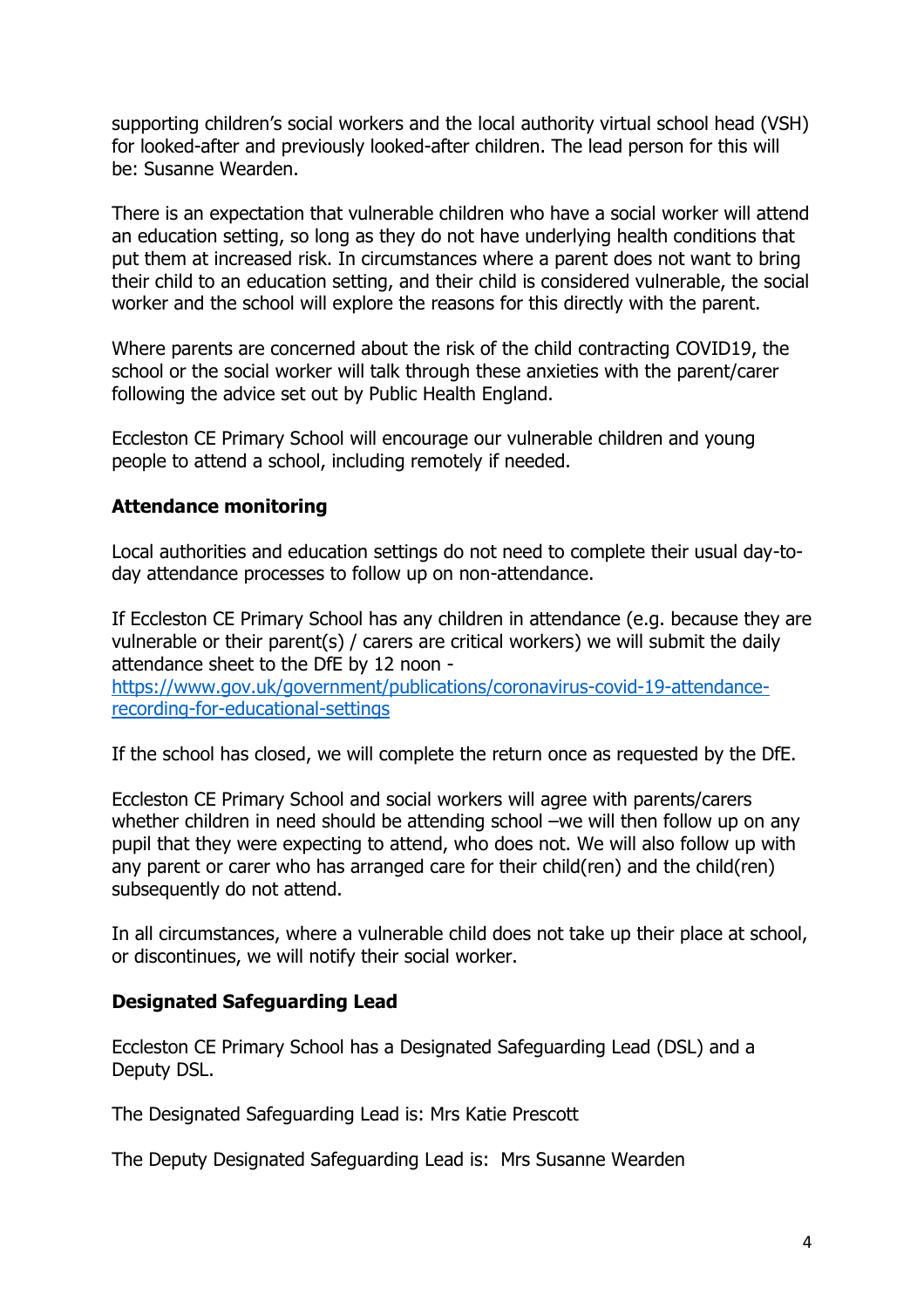supporting children's social workers and the local authority virtual school head (VSH) for looked-after and previously looked-after children. The lead person for this will be: Susanne Wearden.

There is an expectation that vulnerable children who have a social worker will attend an education setting, so long as they do not have underlying health conditions that put them at increased risk. In circumstances where a parent does not want to bring their child to an education setting, and their child is considered vulnerable, the social worker and the school will explore the reasons for this directly with the parent.

Where parents are concerned about the risk of the child contracting COVID19, the school or the social worker will talk through these anxieties with the parent/carer following the advice set out by Public Health England.

Eccleston CE Primary School will encourage our vulnerable children and young people to attend a school, including remotely if needed.

# <span id="page-3-0"></span>**Attendance monitoring**

Local authorities and education settings do not need to complete their usual day-today attendance processes to follow up on non-attendance.

If Eccleston CE Primary School has any children in attendance (e.g. because they are vulnerable or their parent(s) / carers are critical workers) we will submit the daily attendance sheet to the DfE by 12 noon -

[https://www.gov.uk/government/publications/coronavirus-covid-19-attendance](https://www.gov.uk/government/publications/coronavirus-covid-19-attendance-recording-for-educational-settings)[recording-for-educational-settings](https://www.gov.uk/government/publications/coronavirus-covid-19-attendance-recording-for-educational-settings)

If the school has closed, we will complete the return once as requested by the DfE.

Eccleston CE Primary School and social workers will agree with parents/carers whether children in need should be attending school –we will then follow up on any pupil that they were expecting to attend, who does not. We will also follow up with any parent or carer who has arranged care for their child(ren) and the child(ren) subsequently do not attend.

In all circumstances, where a vulnerable child does not take up their place at school, or discontinues, we will notify their social worker.

### <span id="page-3-1"></span>**Designated Safeguarding Lead**

Eccleston CE Primary School has a Designated Safeguarding Lead (DSL) and a Deputy DSL.

The Designated Safeguarding Lead is: Mrs Katie Prescott

The Deputy Designated Safeguarding Lead is: Mrs Susanne Wearden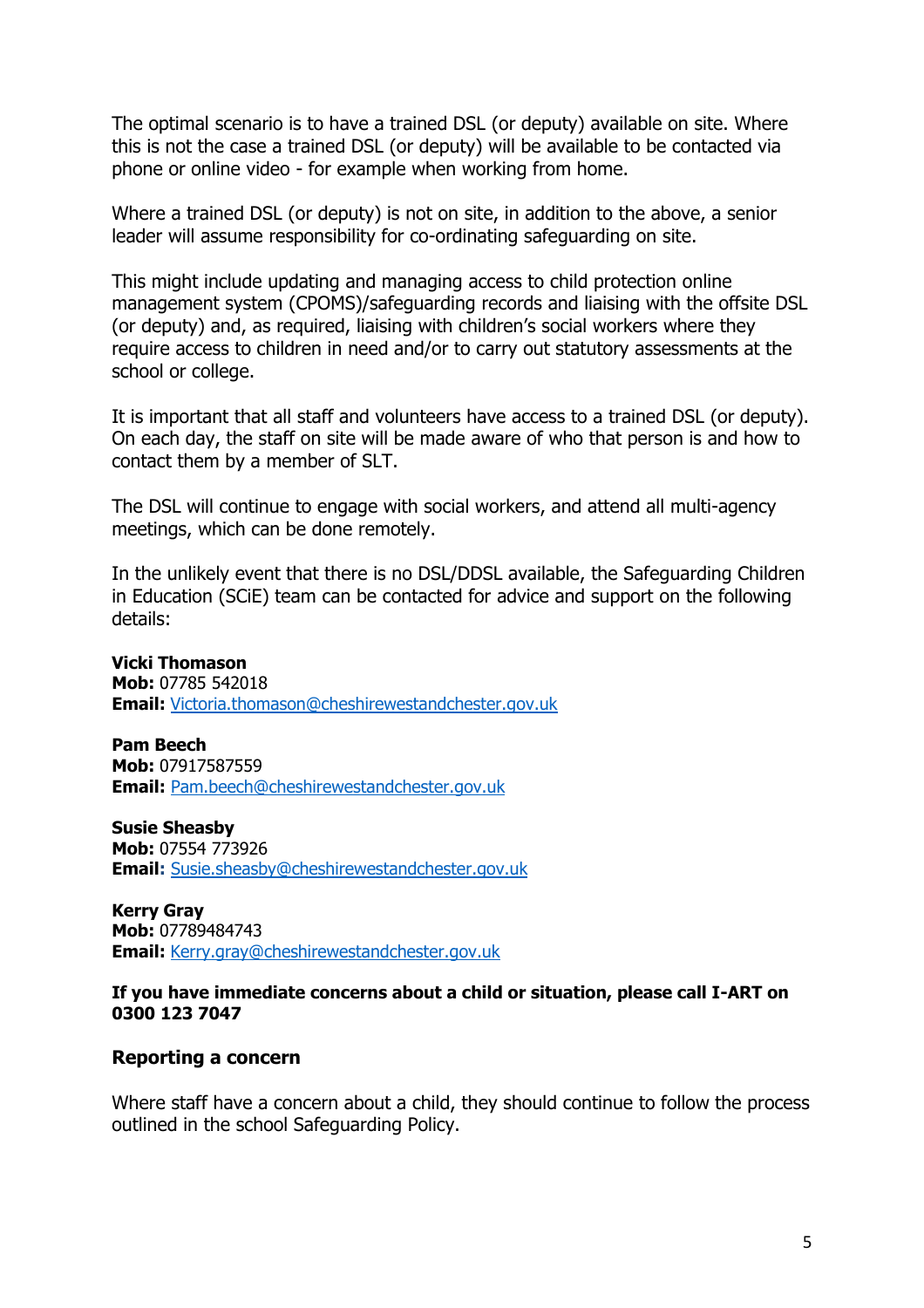The optimal scenario is to have a trained DSL (or deputy) available on site. Where this is not the case a trained DSL (or deputy) will be available to be contacted via phone or online video - for example when working from home.

Where a trained DSL (or deputy) is not on site, in addition to the above, a senior leader will assume responsibility for co-ordinating safeguarding on site.

This might include updating and managing access to child protection online management system (CPOMS)/safeguarding records and liaising with the offsite DSL (or deputy) and, as required, liaising with children's social workers where they require access to children in need and/or to carry out statutory assessments at the school or college.

It is important that all staff and volunteers have access to a trained DSL (or deputy). On each day, the staff on site will be made aware of who that person is and how to contact them by a member of SLT.

The DSL will continue to engage with social workers, and attend all multi-agency meetings, which can be done remotely.

In the unlikely event that there is no DSL/DDSL available, the Safeguarding Children in Education (SCiE) team can be contacted for advice and support on the following details:

**Vicki Thomason**

**Mob:** 07785 542018 **Email:** [Victoria.thomason@cheshirewestandchester.gov.uk](mailto:Victoria.thomason@cheshirewestandchester.gov.uk)

**Pam Beech Mob:** 07917587559 **Email:** [Pam.beech@cheshirewestandchester.gov.uk](mailto:Pam.beech@cheshirewestandchester.gov.uk)

**Susie Sheasby Mob:** 07554 773926 **Email:** [Susie.sheasby@cheshirewestandchester.gov.uk](mailto:Susie.sheasby@cheshirewestandchester.gov.uk)

**Kerry Gray Mob:** 07789484743 **Email:** [Kerry.gray@cheshirewestandchester.gov.uk](mailto:Kerry.gray@cheshirewestandchester.gov.uk)

#### **If you have immediate concerns about a child or situation, please call I-ART on 0300 123 7047**

#### <span id="page-4-0"></span>**Reporting a concern**

Where staff have a concern about a child, they should continue to follow the process outlined in the school Safeguarding Policy.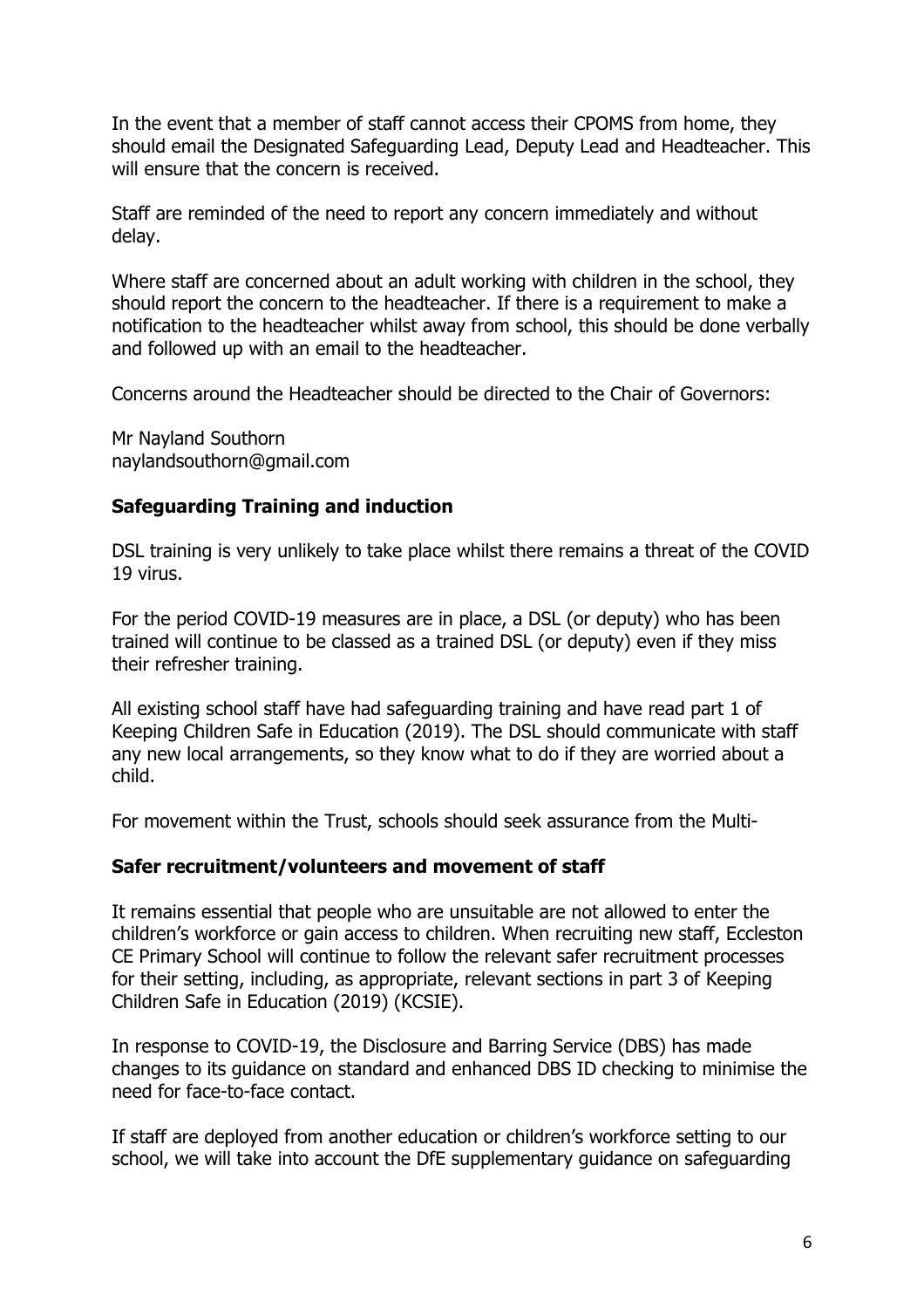In the event that a member of staff cannot access their CPOMS from home, they should email the Designated Safeguarding Lead, Deputy Lead and Headteacher. This will ensure that the concern is received.

Staff are reminded of the need to report any concern immediately and without delay.

Where staff are concerned about an adult working with children in the school, they should report the concern to the headteacher. If there is a requirement to make a notification to the headteacher whilst away from school, this should be done verbally and followed up with an email to the headteacher.

Concerns around the Headteacher should be directed to the Chair of Governors:

Mr Nayland Southorn naylandsouthorn@gmail.com

# <span id="page-5-0"></span>**Safeguarding Training and induction**

DSL training is very unlikely to take place whilst there remains a threat of the COVID 19 virus.

For the period COVID-19 measures are in place, a DSL (or deputy) who has been trained will continue to be classed as a trained DSL (or deputy) even if they miss their refresher training.

All existing school staff have had safeguarding training and have read part 1 of Keeping Children Safe in Education (2019). The DSL should communicate with staff any new local arrangements, so they know what to do if they are worried about a child.

For movement within the Trust, schools should seek assurance from the Multi-

### <span id="page-5-1"></span>**Safer recruitment/volunteers and movement of staff**

It remains essential that people who are unsuitable are not allowed to enter the children's workforce or gain access to children. When recruiting new staff, Eccleston CE Primary School will continue to follow the relevant safer recruitment processes for their setting, including, as appropriate, relevant sections in part 3 of Keeping Children Safe in Education (2019) (KCSIE).

In response to COVID-19, the Disclosure and Barring Service (DBS) has made changes to its guidance on standard and enhanced DBS ID checking to minimise the need for face-to-face contact.

If staff are deployed from another education or children's workforce setting to our school, we will take into account the DfE supplementary guidance on safeguarding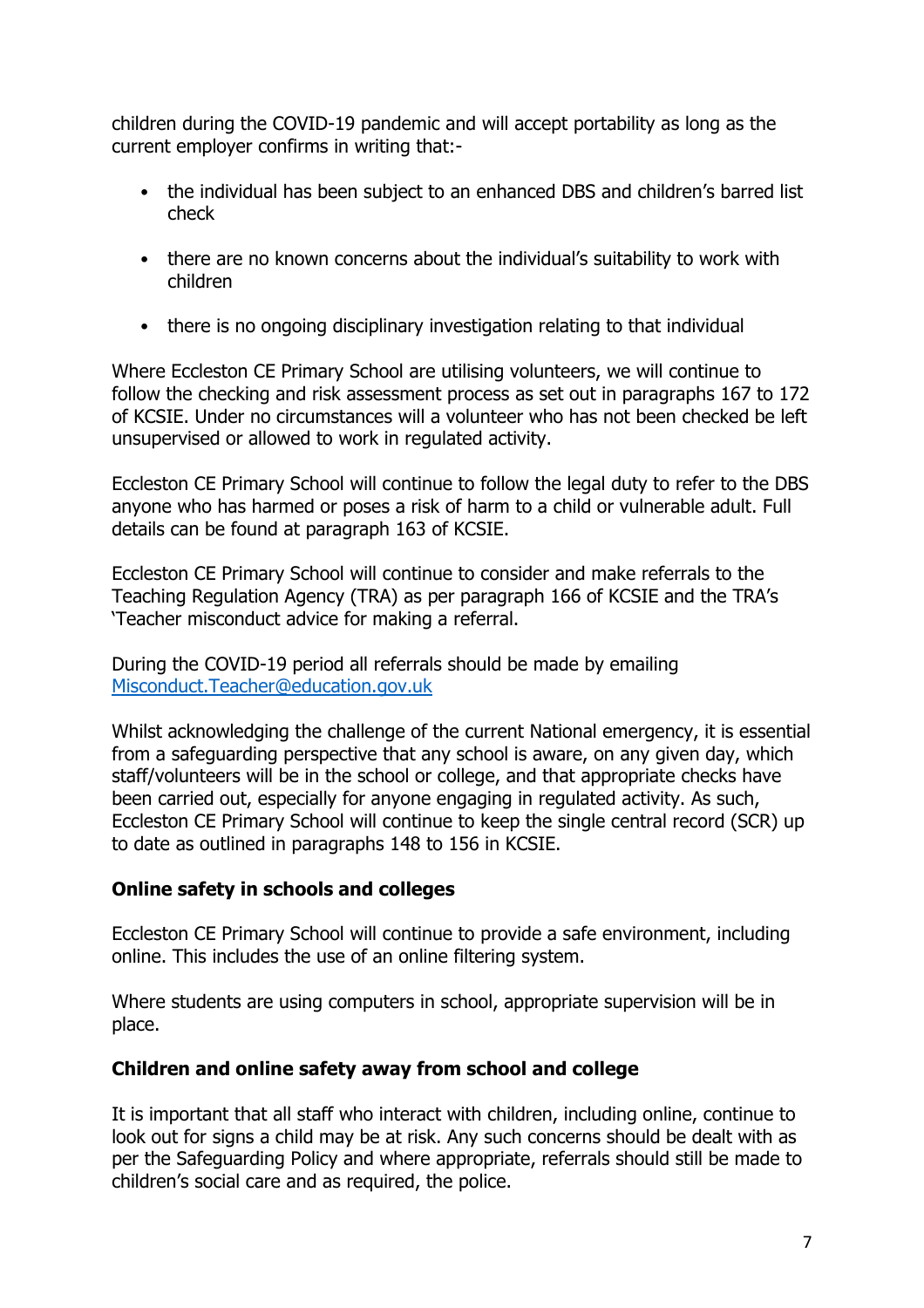children during the COVID-19 pandemic and will accept portability as long as the current employer confirms in writing that:-

- the individual has been subject to an enhanced DBS and children's barred list check
- there are no known concerns about the individual's suitability to work with children
- there is no ongoing disciplinary investigation relating to that individual

Where Eccleston CE Primary School are utilising volunteers, we will continue to follow the checking and risk assessment process as set out in paragraphs 167 to 172 of KCSIE. Under no circumstances will a volunteer who has not been checked be left unsupervised or allowed to work in regulated activity.

Eccleston CE Primary School will continue to follow the legal duty to refer to the DBS anyone who has harmed or poses a risk of harm to a child or vulnerable adult. Full details can be found at paragraph 163 of KCSIE.

Eccleston CE Primary School will continue to consider and make referrals to the Teaching Regulation Agency (TRA) as per paragraph 166 of KCSIE and the TRA's 'Teacher misconduct advice for making a referral.

During the COVID-19 period all referrals should be made by emailing [Misconduct.Teacher@education.gov.uk](mailto:Misconduct.Teacher@education.gov.uk)

Whilst acknowledging the challenge of the current National emergency, it is essential from a safeguarding perspective that any school is aware, on any given day, which staff/volunteers will be in the school or college, and that appropriate checks have been carried out, especially for anyone engaging in regulated activity. As such, Eccleston CE Primary School will continue to keep the single central record (SCR) up to date as outlined in paragraphs 148 to 156 in KCSIE.

### <span id="page-6-0"></span>**Online safety in schools and colleges**

Eccleston CE Primary School will continue to provide a safe environment, including online. This includes the use of an online filtering system.

Where students are using computers in school, appropriate supervision will be in place.

### <span id="page-6-1"></span>**Children and online safety away from school and college**

It is important that all staff who interact with children, including online, continue to look out for signs a child may be at risk. Any such concerns should be dealt with as per the Safeguarding Policy and where appropriate, referrals should still be made to children's social care and as required, the police.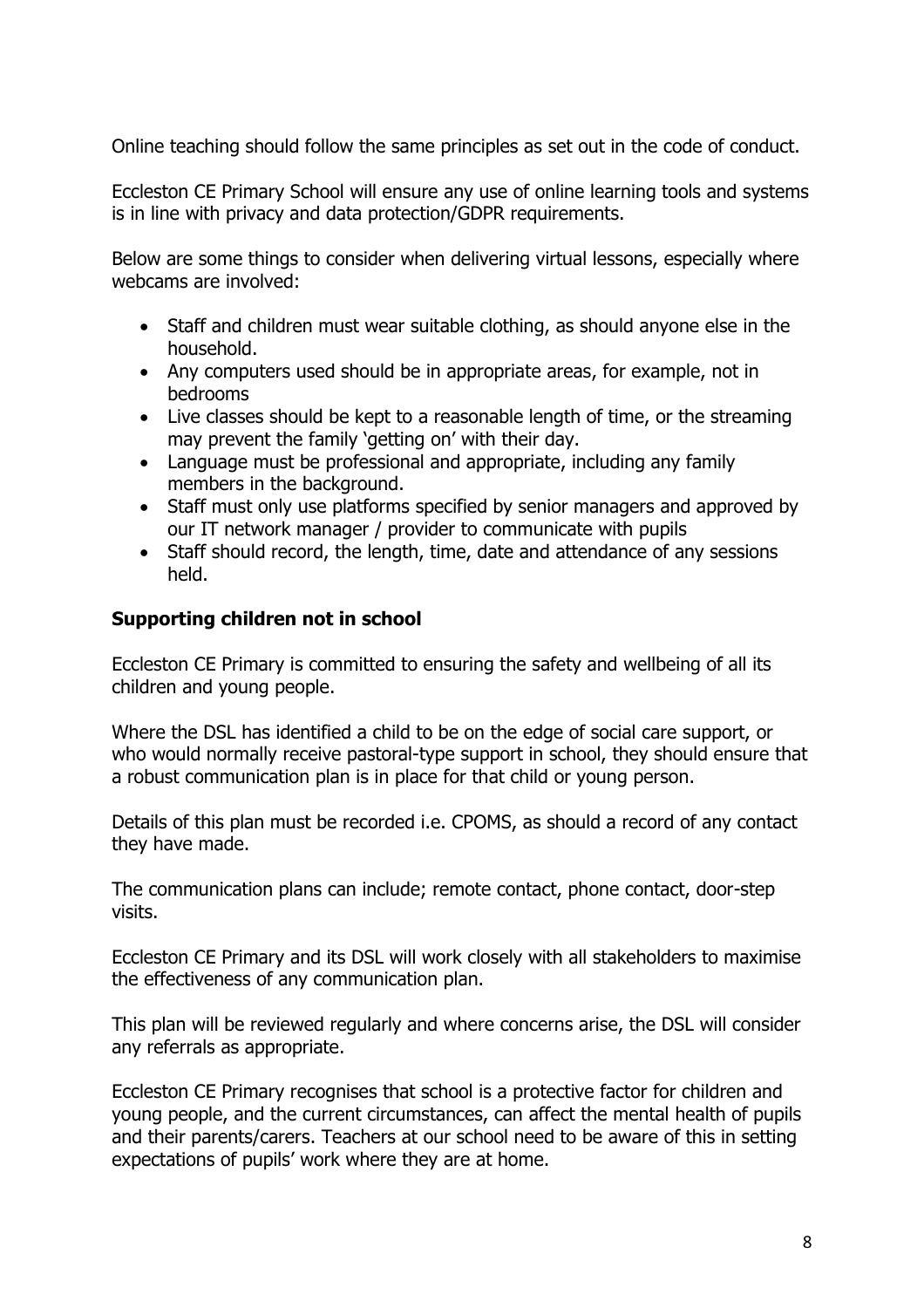Online teaching should follow the same principles as set out in the code of conduct.

Eccleston CE Primary School will ensure any use of online learning tools and systems is in line with privacy and data protection/GDPR requirements.

Below are some things to consider when delivering virtual lessons, especially where webcams are involved:

- Staff and children must wear suitable clothing, as should anyone else in the household.
- Any computers used should be in appropriate areas, for example, not in bedrooms
- Live classes should be kept to a reasonable length of time, or the streaming may prevent the family 'getting on' with their day.
- Language must be professional and appropriate, including any family members in the background.
- Staff must only use platforms specified by senior managers and approved by our IT network manager / provider to communicate with pupils
- Staff should record, the length, time, date and attendance of any sessions held.

# <span id="page-7-0"></span>**Supporting children not in school**

Eccleston CE Primary is committed to ensuring the safety and wellbeing of all its children and young people.

Where the DSL has identified a child to be on the edge of social care support, or who would normally receive pastoral-type support in school, they should ensure that a robust communication plan is in place for that child or young person.

Details of this plan must be recorded i.e. CPOMS, as should a record of any contact they have made.

The communication plans can include; remote contact, phone contact, door-step visits.

Eccleston CE Primary and its DSL will work closely with all stakeholders to maximise the effectiveness of any communication plan.

This plan will be reviewed regularly and where concerns arise, the DSL will consider any referrals as appropriate.

Eccleston CE Primary recognises that school is a protective factor for children and young people, and the current circumstances, can affect the mental health of pupils and their parents/carers. Teachers at our school need to be aware of this in setting expectations of pupils' work where they are at home.